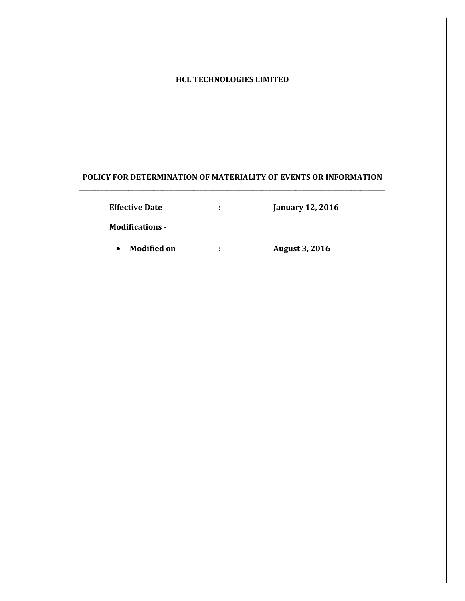## **HCL TECHNOLOGIES LIMITED**

# **POLICY FOR DETERMINATION OF MATERIALITY OF EVENTS OR INFORMATION** \_\_\_\_\_\_\_\_\_\_\_\_\_\_\_\_\_\_\_\_\_\_\_\_\_\_\_\_\_\_\_\_\_\_\_\_\_\_\_\_\_\_\_\_\_\_\_\_\_\_\_\_\_\_\_\_\_\_\_\_\_\_\_\_\_\_\_\_\_\_\_\_\_\_\_\_\_\_\_\_\_\_\_\_\_\_\_\_\_\_\_\_\_\_\_\_\_\_\_

| <b>Effective Date</b>  | ÷ | <b>January 12, 2016</b> |
|------------------------|---|-------------------------|
| <b>Modifications -</b> |   |                         |
| Modified on            | ÷ | <b>August 3, 2016</b>   |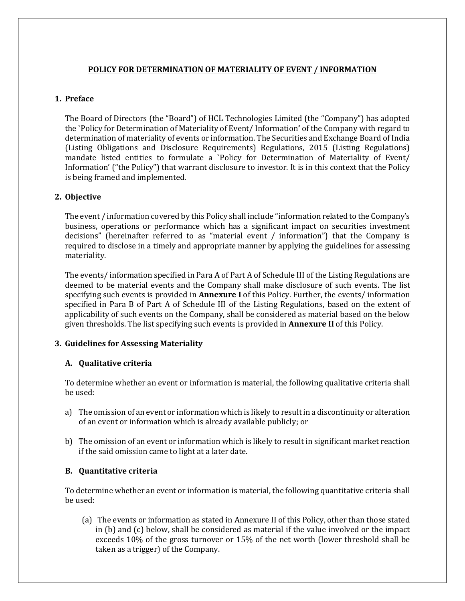# **POLICY FOR DETERMINATION OF MATERIALITY OF EVENT / INFORMATION**

### **1. Preface**

The Board of Directors (the "Board") of HCL Technologies Limited (the "Company") has adopted the `Policy for Determination of Materiality of Event/ Information**'** of the Company with regard to determination of materiality of events or information. The Securities and Exchange Board of India (Listing Obligations and Disclosure Requirements) Regulations, 2015 (Listing Regulations) mandate listed entities to formulate a `Policy for Determination of Materiality of Event/ Information' ("the Policy") that warrant disclosure to investor. It is in this context that the Policy is being framed and implemented.

### **2. Objective**

The event / information covered by this Policy shall include "information related to the Company's business, operations or performance which has a significant impact on securities investment decisions" (hereinafter referred to as "material event / information") that the Company is required to disclose in a timely and appropriate manner by applying the guidelines for assessing materiality.

The events/ information specified in Para A of Part A of Schedule III of the Listing Regulations are deemed to be material events and the Company shall make disclosure of such events. The list specifying such events is provided in **Annexure I** of this Policy. Further, the events/ information specified in Para B of Part A of Schedule III of the Listing Regulations, based on the extent of applicability of such events on the Company, shall be considered as material based on the below given thresholds. The list specifying such events is provided in **Annexure II** of this Policy.

# **3. Guidelines for Assessing Materiality**

### **A. Qualitative criteria**

To determine whether an event or information is material, the following qualitative criteria shall be used:

- a) The omission of an event or information which is likely to result in a discontinuity or alteration of an event or information which is already available publicly; or
- b) The omission of an event or information which is likely to result in significant market reaction if the said omission came to light at a later date.

### **B. Quantitative criteria**

To determine whether an event or information is material, the following quantitative criteria shall be used:

(a) The events or information as stated in Annexure II of this Policy, other than those stated in (b) and (c) below, shall be considered as material if the value involved or the impact exceeds 10% of the gross turnover or 15% of the net worth (lower threshold shall be taken as a trigger) of the Company.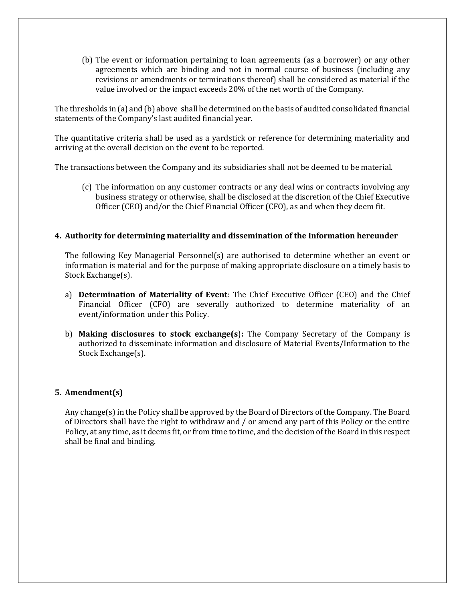(b) The event or information pertaining to loan agreements (as a borrower) or any other agreements which are binding and not in normal course of business (including any revisions or amendments or terminations thereof) shall be considered as material if the value involved or the impact exceeds 20% of the net worth of the Company.

The thresholds in (a) and (b) above shall be determined on the basis of audited consolidated financial statements of the Company's last audited financial year.

The quantitative criteria shall be used as a yardstick or reference for determining materiality and arriving at the overall decision on the event to be reported.

The transactions between the Company and its subsidiaries shall not be deemed to be material.

(c) The information on any customer contracts or any deal wins or contracts involving any business strategy or otherwise, shall be disclosed at the discretion of the Chief Executive Officer (CEO) and/or the Chief Financial Officer (CFO), as and when they deem fit.

## **4. Authority for determining materiality and dissemination of the Information hereunder**

The following Key Managerial Personnel(s) are authorised to determine whether an event or information is material and for the purpose of making appropriate disclosure on a timely basis to Stock Exchange(s).

- a) **Determination of Materiality of Event**: The Chief Executive Officer (CEO) and the Chief Financial Officer (CFO) are severally authorized to determine materiality of an event/information under this Policy.
- b) **Making disclosures to stock exchange(s**)**:** The Company Secretary of the Company is authorized to disseminate information and disclosure of Material Events/Information to the Stock Exchange(s).

### **5. Amendment(s)**

Any change(s) in the Policy shall be approved by the Board of Directors of the Company. The Board of Directors shall have the right to withdraw and / or amend any part of this Policy or the entire Policy, at any time, as it deems fit, or from time to time, and the decision of the Board in this respect shall be final and binding.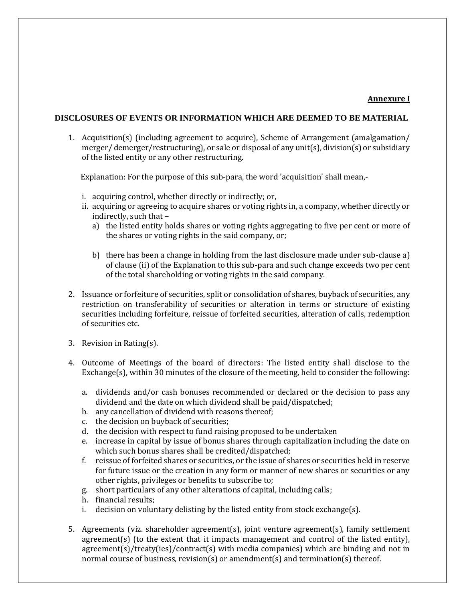### **Annexure I**

#### **DISCLOSURES OF EVENTS OR INFORMATION WHICH ARE DEEMED TO BE MATERIAL**

1. Acquisition(s) (including agreement to acquire), Scheme of Arrangement (amalgamation/ merger/ demerger/restructuring), or sale or disposal of any unit(s), division(s) or subsidiary of the listed entity or any other restructuring.

Explanation: For the purpose of this sub-para, the word 'acquisition' shall mean,-

- i. acquiring control, whether directly or indirectly; or,
- ii. acquiring or agreeing to acquire shares or voting rights in, a company, whether directly or indirectly, such that –
	- a) the listed entity holds shares or voting rights aggregating to five per cent or more of the shares or voting rights in the said company, or;
	- b) there has been a change in holding from the last disclosure made under sub-clause a) of clause (ii) of the Explanation to this sub-para and such change exceeds two per cent of the total shareholding or voting rights in the said company.
- 2. Issuance or forfeiture of securities, split or consolidation of shares, buyback of securities, any restriction on transferability of securities or alteration in terms or structure of existing securities including forfeiture, reissue of forfeited securities, alteration of calls, redemption of securities etc.
- 3. Revision in Rating(s).
- 4. Outcome of Meetings of the board of directors: The listed entity shall disclose to the Exchange(s), within 30 minutes of the closure of the meeting, held to consider the following:
	- a. dividends and/or cash bonuses recommended or declared or the decision to pass any dividend and the date on which dividend shall be paid/dispatched;
	- b. any cancellation of dividend with reasons thereof;
	- c. the decision on buyback of securities;
	- d. the decision with respect to fund raising proposed to be undertaken
	- e. increase in capital by issue of bonus shares through capitalization including the date on which such bonus shares shall be credited/dispatched;
	- f. reissue of forfeited shares or securities, or the issue of shares or securities held in reserve for future issue or the creation in any form or manner of new shares or securities or any other rights, privileges or benefits to subscribe to;
	- g. short particulars of any other alterations of capital, including calls;
	- h. financial results;
	- i. decision on voluntary delisting by the listed entity from stock exchange(s).
- 5. Agreements (viz. shareholder agreement(s), joint venture agreement(s), family settlement agreement(s) (to the extent that it impacts management and control of the listed entity), agreement(s)/treaty(ies)/contract(s) with media companies) which are binding and not in normal course of business, revision(s) or amendment(s) and termination(s) thereof.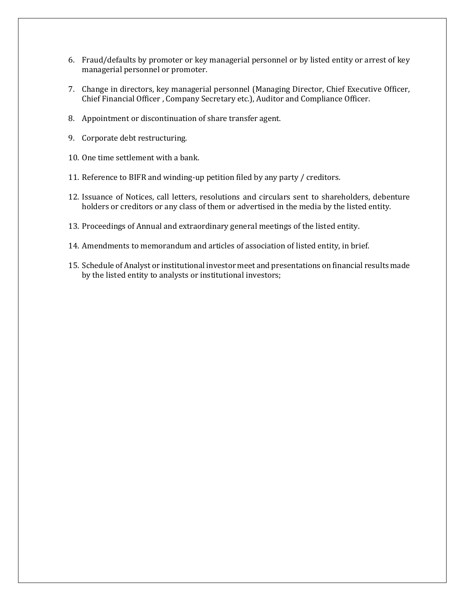- 6. Fraud/defaults by promoter or key managerial personnel or by listed entity or arrest of key managerial personnel or promoter.
- 7. Change in directors, key managerial personnel (Managing Director, Chief Executive Officer, Chief Financial Officer , Company Secretary etc.), Auditor and Compliance Officer.
- 8. Appointment or discontinuation of share transfer agent.
- 9. Corporate debt restructuring.
- 10. One time settlement with a bank.
- 11. Reference to BIFR and winding-up petition filed by any party / creditors.
- 12. Issuance of Notices, call letters, resolutions and circulars sent to shareholders, debenture holders or creditors or any class of them or advertised in the media by the listed entity.
- 13. Proceedings of Annual and extraordinary general meetings of the listed entity.
- 14. Amendments to memorandum and articles of association of listed entity, in brief.
- 15. Schedule of Analyst or institutional investor meet and presentations on financial results made by the listed entity to analysts or institutional investors;